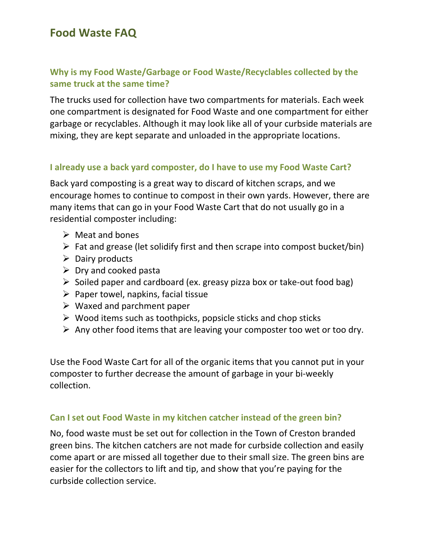## Why is my Food Waste/Garbage or Food Waste/Recyclables collected by the same truck at the same time?

The trucks used for collection have two compartments for materials. Each week one compartment is designated for Food Waste and one compartment for either garbage or recyclables. Although it may look like all of your curbside materials are mixing, they are kept separate and unloaded in the appropriate locations.

### I already use a back yard composter, do I have to use my Food Waste Cart?

Back yard composting is a great way to discard of kitchen scraps, and we encourage homes to continue to compost in their own yards. However, there are many items that can go in your Food Waste Cart that do not usually go in a residential composter including:

- $\triangleright$  Meat and bones
- $\triangleright$  Fat and grease (let solidify first and then scrape into compost bucket/bin)
- $\triangleright$  Dairy products
- $\triangleright$  Dry and cooked pasta
- $\triangleright$  Soiled paper and cardboard (ex. greasy pizza box or take-out food bag)
- $\triangleright$  Paper towel, napkins, facial tissue
- $\triangleright$  Waxed and parchment paper
- $\triangleright$  Wood items such as toothpicks, popsicle sticks and chop sticks
- $\triangleright$  Any other food items that are leaving your composter too wet or too dry.

Use the Food Waste Cart for all of the organic items that you cannot put in your composter to further decrease the amount of garbage in your bi-weekly collection.

#### Can I set out Food Waste in my kitchen catcher instead of the green bin?

No, food waste must be set out for collection in the Town of Creston branded green bins. The kitchen catchers are not made for curbside collection and easily come apart or are missed all together due to their small size. The green bins are easier for the collectors to lift and tip, and show that you're paying for the curbside collection service.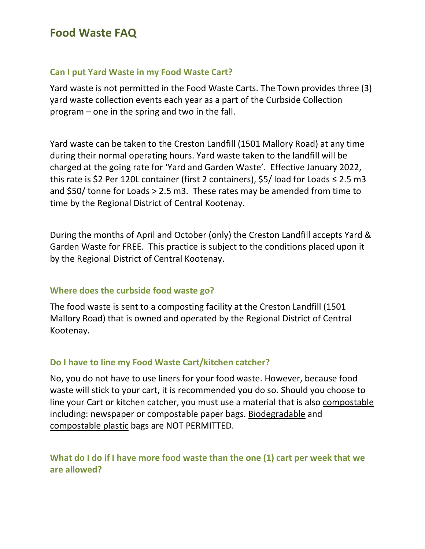#### Can I put Yard Waste in my Food Waste Cart?

Yard waste is not permitted in the Food Waste Carts. The Town provides three (3) yard waste collection events each year as a part of the Curbside Collection program – one in the spring and two in the fall.

Yard waste can be taken to the Creston Landfill (1501 Mallory Road) at any time during their normal operating hours. Yard waste taken to the landfill will be charged at the going rate for 'Yard and Garden Waste'. Effective January 2022, this rate is \$2 Per 120L container (first 2 containers), \$5/ load for Loads ≤ 2.5 m3 and \$50/ tonne for Loads > 2.5 m3. These rates may be amended from time to time by the Regional District of Central Kootenay.

During the months of April and October (only) the Creston Landfill accepts Yard & Garden Waste for FREE. This practice is subject to the conditions placed upon it by the Regional District of Central Kootenay.

### Where does the curbside food waste go?

The food waste is sent to a composting facility at the Creston Landfill (1501 Mallory Road) that is owned and operated by the Regional District of Central Kootenay.

#### Do I have to line my Food Waste Cart/kitchen catcher?

No, you do not have to use liners for your food waste. However, because food waste will stick to your cart, it is recommended you do so. Should you choose to line your Cart or kitchen catcher, you must use a material that is also compostable including: newspaper or compostable paper bags. Biodegradable and compostable plastic bags are NOT PERMITTED.

## What do I do if I have more food waste than the one (1) cart per week that we are allowed?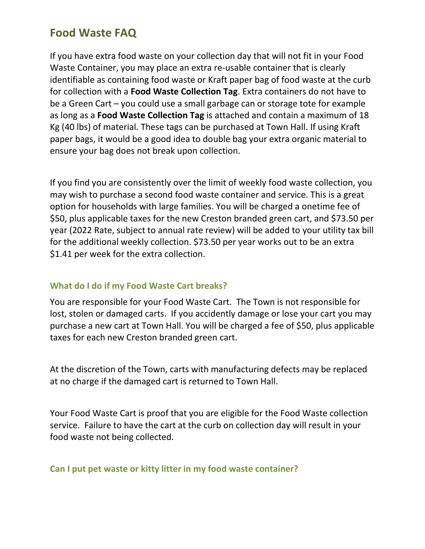If you have extra food waste on your collection day that will not fit in your Food Waste Container, you may place an extra re-usable container that is clearly identifiable as containing food waste or Kraft paper bag of food waste at the curb for collection with a Food Waste Collection Tag. Extra containers do not have to be a Green Cart – you could use a small garbage can or storage tote for example as long as a Food Waste Collection Tag is attached and contain a maximum of 18 Kg (40 lbs) of material. These tags can be purchased at Town Hall. If using Kraft paper bags, it would be a good idea to double bag your extra organic material to ensure your bag does not break upon collection.

If you find you are consistently over the limit of weekly food waste collection, you may wish to purchase a second food waste container and service. This is a great option for households with large families. You will be charged a onetime fee of \$50, plus applicable taxes for the new Creston branded green cart, and \$73.50 per year (2022 Rate, subject to annual rate review) will be added to your utility tax bill for the additional weekly collection. \$73.50 per year works out to be an extra \$1.41 per week for the extra collection.

### What do I do if my Food Waste Cart breaks?

You are responsible for your Food Waste Cart. The Town is not responsible for lost, stolen or damaged carts. If you accidently damage or lose your cart you may purchase a new cart at Town Hall. You will be charged a fee of \$50, plus applicable taxes for each new Creston branded green cart.

At the discretion of the Town, carts with manufacturing defects may be replaced at no charge if the damaged cart is returned to Town Hall.

Your Food Waste Cart is proof that you are eligible for the Food Waste collection service. Failure to have the cart at the curb on collection day will result in your food waste not being collected.

#### Can I put pet waste or kitty litter in my food waste container?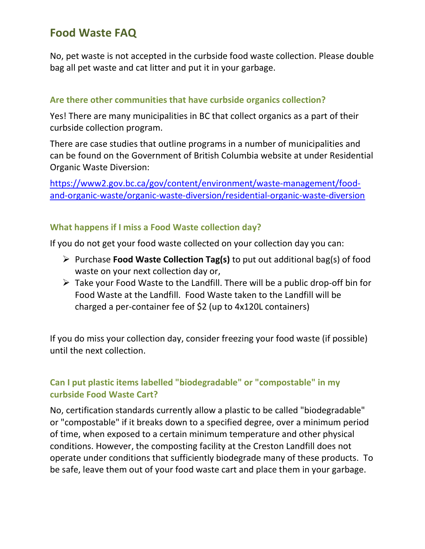No, pet waste is not accepted in the curbside food waste collection. Please double bag all pet waste and cat litter and put it in your garbage.

#### Are there other communities that have curbside organics collection?

Yes! There are many municipalities in BC that collect organics as a part of their curbside collection program.

There are case studies that outline programs in a number of municipalities and can be found on the Government of British Columbia website at under Residential Organic Waste Diversion:

https://www2.gov.bc.ca/gov/content/environment/waste-management/foodand-organic-waste/organic-waste-diversion/residential-organic-waste-diversion

#### What happens if I miss a Food Waste collection day?

If you do not get your food waste collected on your collection day you can:

- $\triangleright$  Purchase **Food Waste Collection Tag(s)** to put out additional bag(s) of food waste on your next collection day or,
- $\triangleright$  Take your Food Waste to the Landfill. There will be a public drop-off bin for Food Waste at the Landfill. Food Waste taken to the Landfill will be charged a per-container fee of \$2 (up to 4x120L containers)

If you do miss your collection day, consider freezing your food waste (if possible) until the next collection.

## Can I put plastic items labelled "biodegradable" or "compostable" in my curbside Food Waste Cart?

No, certification standards currently allow a plastic to be called "biodegradable" or "compostable" if it breaks down to a specified degree, over a minimum period of time, when exposed to a certain minimum temperature and other physical conditions. However, the composting facility at the Creston Landfill does not operate under conditions that sufficiently biodegrade many of these products. To be safe, leave them out of your food waste cart and place them in your garbage.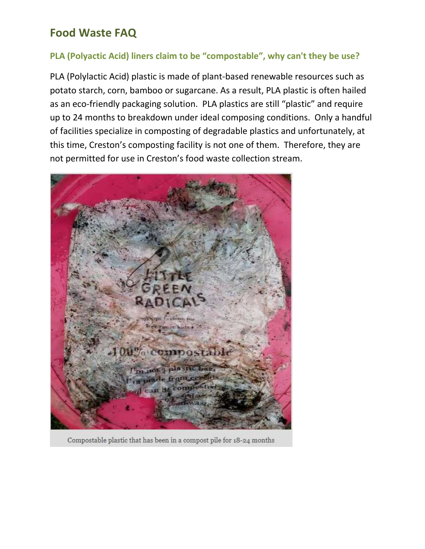### PLA (Polyactic Acid) liners claim to be "compostable", why can't they be use?

PLA (Polylactic Acid) plastic is made of plant-based renewable resources such as potato starch, corn, bamboo or sugarcane. As a result, PLA plastic is often hailed as an eco-friendly packaging solution. PLA plastics are still "plastic" and require up to 24 months to breakdown under ideal composing conditions. Only a handful of facilities specialize in composting of degradable plastics and unfortunately, at this time, Creston's composting facility is not one of them. Therefore, they are not permitted for use in Creston's food waste collection stream.



Compostable plastic that has been in a compost pile for 18-24 months